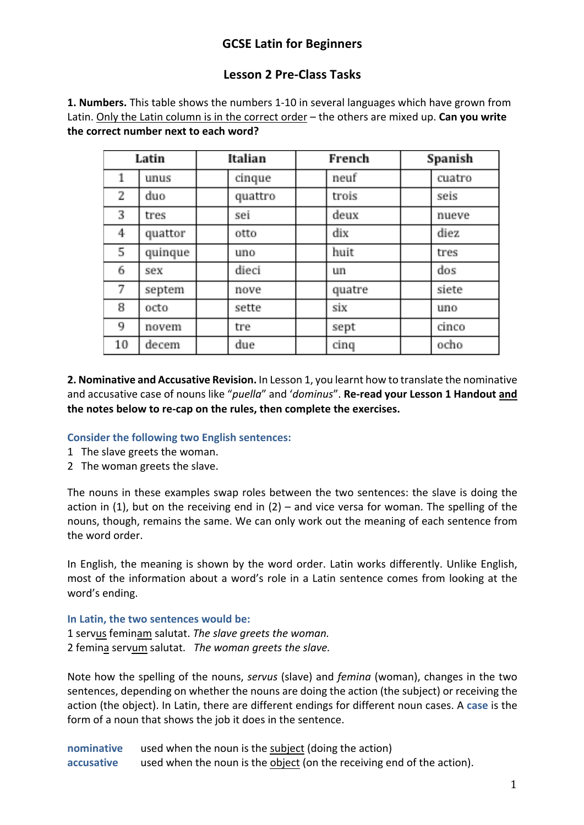# **GCSE Latin for Beginners**

# **Lesson 2 Pre-Class Tasks**

**1. Numbers.** This table shows the numbers 1-10 in several languages which have grown from Latin. Only the Latin column is in the correct order – the others are mixed up. **Can you write the correct number next to each word?** 

| Latin |         | Italian |         | French |        | Spanish |        |
|-------|---------|---------|---------|--------|--------|---------|--------|
| 1     | unus    |         | cinque  |        | neuf   |         | cuatro |
| 2     | duo     |         | quattro |        | trois  |         | seis   |
| 3     | tres    |         | sei     |        | deux   |         | nueve  |
| 4     | quattor |         | otto    |        | dix    |         | diez   |
| 5     | quinque |         | uno     |        | huit   |         | tres   |
| 6     | sex     |         | dieci   |        | un     |         | dos    |
| 7     | septem  |         | nove    |        | quatre |         | siete  |
| 8     | octo    |         | sette   |        | six    |         | uno    |
| 9     | novem   |         | tre     |        | sept   |         | cinco  |
| 10    | decem   |         | due     |        | cinq   |         | ocho   |

**2. Nominative and Accusative Revision.** In Lesson 1, you learnt how to translate the nominative and accusative case of nouns like "*puella*" and '*dominus*". **Re-read your Lesson 1 Handout and the notes below to re-cap on the rules, then complete the exercises.** 

### **Consider the following two English sentences:**

- 1 The slave greets the woman.
- 2 The woman greets the slave.

The nouns in these examples swap roles between the two sentences: the slave is doing the action in (1), but on the receiving end in (2) – and vice versa for woman. The spelling of the nouns, though, remains the same. We can only work out the meaning of each sentence from the word order.

In English, the meaning is shown by the word order. Latin works differently. Unlike English, most of the information about a word's role in a Latin sentence comes from looking at the word's ending.

## **In Latin, the two sentences would be:**

1 servus feminam salutat. *The slave greets the woman.* 2 femina servum salutat. *The woman greets the slave.*

Note how the spelling of the nouns, *servus* (slave) and *femina* (woman), changes in the two sentences, depending on whether the nouns are doing the action (the subject) or receiving the action (the object). In Latin, there are different endings for different noun cases. A **case** is the form of a noun that shows the job it does in the sentence.

**nominative** used when the noun is the subject (doing the action) **accusative** used when the noun is the object (on the receiving end of the action).